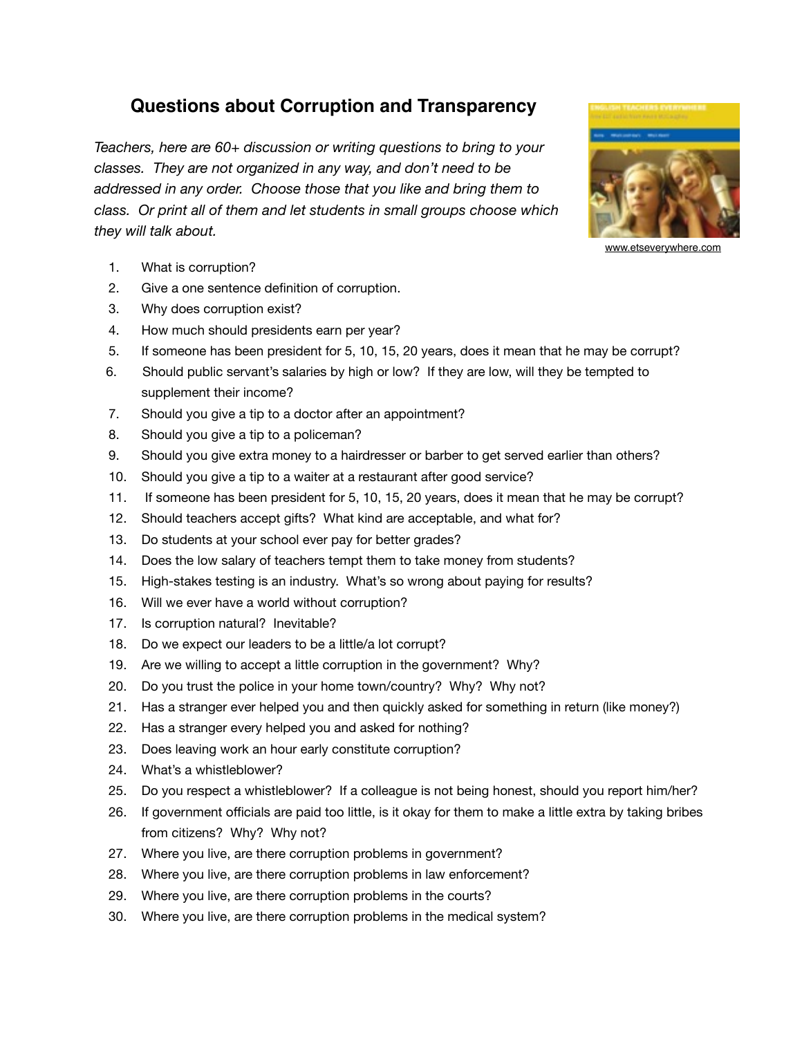## **Questions about Corruption and Transparency**

*Teachers, here are 60+ discussion or writing questions to bring to your classes. They are not organized in any way, and don't need to be addressed in any order. Choose those that you like and bring them to class. Or print all of them and let students in small groups choose which they will talk about.* 



- 2. Give a one sentence definition of corruption.
- 3. Why does corruption exist?
- 4. How much should presidents earn per year?
- 5. If someone has been president for 5, 10, 15, 20 years, does it mean that he may be corrupt?
- 6. Should public servant's salaries by high or low? If they are low, will they be tempted to supplement their income?
- 7. Should you give a tip to a doctor after an appointment?
- 8. Should you give a tip to a policeman?
- 9. Should you give extra money to a hairdresser or barber to get served earlier than others?
- 10. Should you give a tip to a waiter at a restaurant after good service?
- 11. If someone has been president for 5, 10, 15, 20 years, does it mean that he may be corrupt?
- 12. Should teachers accept gifts? What kind are acceptable, and what for?
- 13. Do students at your school ever pay for better grades?
- 14. Does the low salary of teachers tempt them to take money from students?
- 15. High-stakes testing is an industry. What's so wrong about paying for results?
- 16. Will we ever have a world without corruption?
- 17. Is corruption natural? Inevitable?
- 18. Do we expect our leaders to be a little/a lot corrupt?
- 19. Are we willing to accept a little corruption in the government? Why?
- 20. Do you trust the police in your home town/country? Why? Why not?
- 21. Has a stranger ever helped you and then quickly asked for something in return (like money?)
- 22. Has a stranger every helped you and asked for nothing?
- 23. Does leaving work an hour early constitute corruption?
- 24. What's a whistleblower?
- 25. Do you respect a whistleblower? If a colleague is not being honest, should you report him/her?
- 26. If government officials are paid too little, is it okay for them to make a little extra by taking bribes from citizens? Why? Why not?
- 27. Where you live, are there corruption problems in government?
- 28. Where you live, are there corruption problems in law enforcement?
- 29. Where you live, are there corruption problems in the courts?
- 30. Where you live, are there corruption problems in the medical system?

[www.etseverywhere.com](http://www.etseverywhere.com)